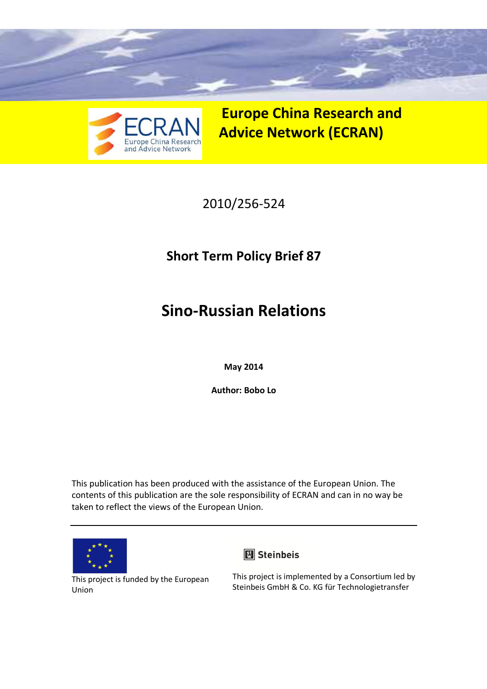



**Europe China Research and Advice Network (ECRAN)** 

## 2010/256-524

# **Short Term Policy Brief 87**

# **Sino-Russian Relations**

**May 2014** 

**Author: Bobo Lo**

This publication has been produced with the assistance of the European Union. The contents of this publication are the sole responsibility of ECRAN and can in no way be taken to reflect the views of the European Union.





This project is funded by the European Union

This project is implemented by a Consortium led by Steinbeis GmbH & Co. KG für Technologietransfer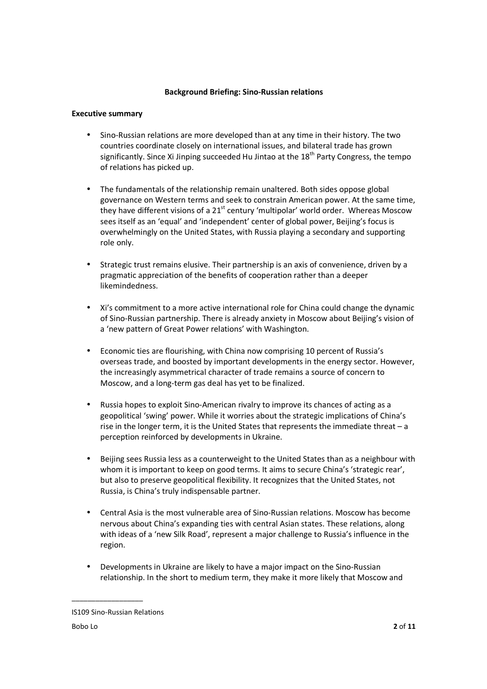#### **Background Briefing: Sino-Russian relations**

#### **Executive summary**

- Sino-Russian relations are more developed than at any time in their history. The two countries coordinate closely on international issues, and bilateral trade has grown significantly. Since Xi Jinping succeeded Hu Jintao at the  $18<sup>th</sup>$  Party Congress, the tempo of relations has picked up.
- The fundamentals of the relationship remain unaltered. Both sides oppose global governance on Western terms and seek to constrain American power. At the same time, they have different visions of a  $21<sup>st</sup>$  century 'multipolar' world order. Whereas Moscow sees itself as an 'equal' and 'independent' center of global power, Beijing's focus is overwhelmingly on the United States, with Russia playing a secondary and supporting role only.
- Strategic trust remains elusive. Their partnership is an axis of convenience, driven by a pragmatic appreciation of the benefits of cooperation rather than a deeper likemindedness.
- Xi's commitment to a more active international role for China could change the dynamic of Sino-Russian partnership. There is already anxiety in Moscow about Beijing's vision of a 'new pattern of Great Power relations' with Washington.
- Economic ties are flourishing, with China now comprising 10 percent of Russia's overseas trade, and boosted by important developments in the energy sector. However, the increasingly asymmetrical character of trade remains a source of concern to Moscow, and a long-term gas deal has yet to be finalized.
- Russia hopes to exploit Sino-American rivalry to improve its chances of acting as a geopolitical 'swing' power. While it worries about the strategic implications of China's rise in the longer term, it is the United States that represents the immediate threat – a perception reinforced by developments in Ukraine.
- Beijing sees Russia less as a counterweight to the United States than as a neighbour with whom it is important to keep on good terms. It aims to secure China's 'strategic rear', but also to preserve geopolitical flexibility. It recognizes that the United States, not Russia, is China's truly indispensable partner.
- Central Asia is the most vulnerable area of Sino-Russian relations. Moscow has become nervous about China's expanding ties with central Asian states. These relations, along with ideas of a 'new Silk Road', represent a major challenge to Russia's influence in the region.
- Developments in Ukraine are likely to have a major impact on the Sino-Russian relationship. In the short to medium term, they make it more likely that Moscow and

IS109 Sino-Russian Relations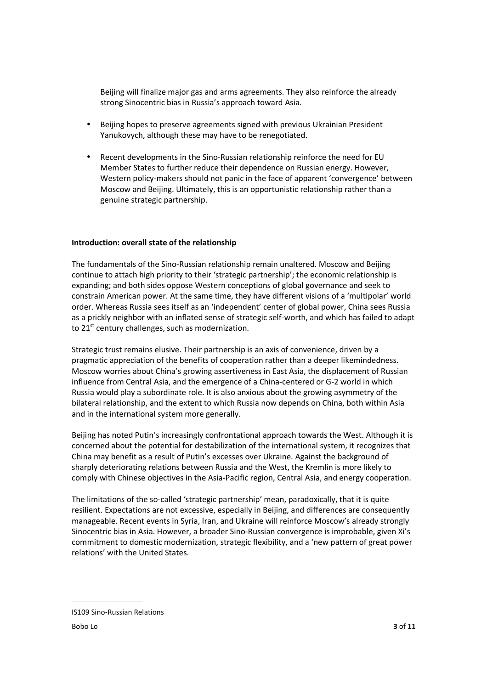Beijing will finalize major gas and arms agreements. They also reinforce the already strong Sinocentric bias in Russia's approach toward Asia.

- Beijing hopes to preserve agreements signed with previous Ukrainian President Yanukovych, although these may have to be renegotiated.
- Recent developments in the Sino-Russian relationship reinforce the need for EU Member States to further reduce their dependence on Russian energy. However, Western policy-makers should not panic in the face of apparent 'convergence' between Moscow and Beijing. Ultimately, this is an opportunistic relationship rather than a genuine strategic partnership.

#### **Introduction: overall state of the relationship**

The fundamentals of the Sino-Russian relationship remain unaltered. Moscow and Beijing continue to attach high priority to their 'strategic partnership'; the economic relationship is expanding; and both sides oppose Western conceptions of global governance and seek to constrain American power. At the same time, they have different visions of a 'multipolar' world order. Whereas Russia sees itself as an 'independent' center of global power, China sees Russia as a prickly neighbor with an inflated sense of strategic self-worth, and which has failed to adapt to  $21<sup>st</sup>$  century challenges, such as modernization.

Strategic trust remains elusive. Their partnership is an axis of convenience, driven by a pragmatic appreciation of the benefits of cooperation rather than a deeper likemindedness. Moscow worries about China's growing assertiveness in East Asia, the displacement of Russian influence from Central Asia, and the emergence of a China-centered or G-2 world in which Russia would play a subordinate role. It is also anxious about the growing asymmetry of the bilateral relationship, and the extent to which Russia now depends on China, both within Asia and in the international system more generally.

Beijing has noted Putin's increasingly confrontational approach towards the West. Although it is concerned about the potential for destabilization of the international system, it recognizes that China may benefit as a result of Putin's excesses over Ukraine. Against the background of sharply deteriorating relations between Russia and the West, the Kremlin is more likely to comply with Chinese objectives in the Asia-Pacific region, Central Asia, and energy cooperation.

The limitations of the so-called 'strategic partnership' mean, paradoxically, that it is quite resilient. Expectations are not excessive, especially in Beijing, and differences are consequently manageable. Recent events in Syria, Iran, and Ukraine will reinforce Moscow's already strongly Sinocentric bias in Asia. However, a broader Sino-Russian convergence is improbable, given Xi's commitment to domestic modernization, strategic flexibility, and a 'new pattern of great power relations' with the United States.

IS109 Sino-Russian Relations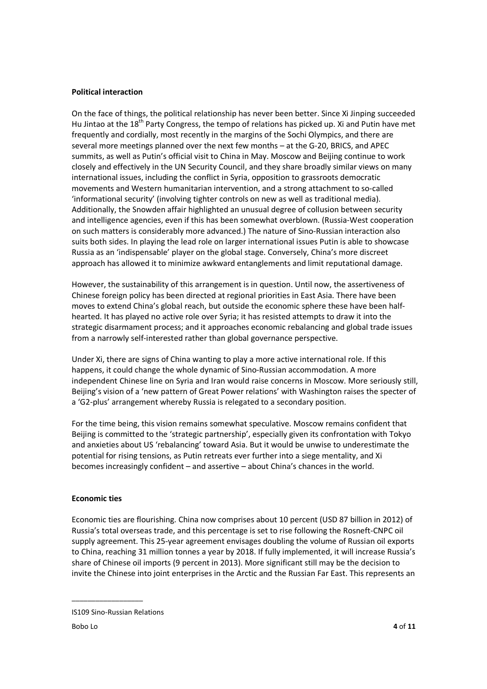#### **Political interaction**

On the face of things, the political relationship has never been better. Since Xi Jinping succeeded Hu Jintao at the 18<sup>th</sup> Party Congress, the tempo of relations has picked up. Xi and Putin have met frequently and cordially, most recently in the margins of the Sochi Olympics, and there are several more meetings planned over the next few months – at the G-20, BRICS, and APEC summits, as well as Putin's official visit to China in May. Moscow and Beijing continue to work closely and effectively in the UN Security Council, and they share broadly similar views on many international issues, including the conflict in Syria, opposition to grassroots democratic movements and Western humanitarian intervention, and a strong attachment to so-called 'informational security' (involving tighter controls on new as well as traditional media). Additionally, the Snowden affair highlighted an unusual degree of collusion between security and intelligence agencies, even if this has been somewhat overblown. (Russia-West cooperation on such matters is considerably more advanced.) The nature of Sino-Russian interaction also suits both sides. In playing the lead role on larger international issues Putin is able to showcase Russia as an 'indispensable' player on the global stage. Conversely, China's more discreet approach has allowed it to minimize awkward entanglements and limit reputational damage.

However, the sustainability of this arrangement is in question. Until now, the assertiveness of Chinese foreign policy has been directed at regional priorities in East Asia. There have been moves to extend China's global reach, but outside the economic sphere these have been halfhearted. It has played no active role over Syria; it has resisted attempts to draw it into the strategic disarmament process; and it approaches economic rebalancing and global trade issues from a narrowly self-interested rather than global governance perspective.

Under Xi, there are signs of China wanting to play a more active international role. If this happens, it could change the whole dynamic of Sino-Russian accommodation. A more independent Chinese line on Syria and Iran would raise concerns in Moscow. More seriously still, Beijing's vision of a 'new pattern of Great Power relations' with Washington raises the specter of a 'G2-plus' arrangement whereby Russia is relegated to a secondary position.

For the time being, this vision remains somewhat speculative. Moscow remains confident that Beijing is committed to the 'strategic partnership', especially given its confrontation with Tokyo and anxieties about US 'rebalancing' toward Asia. But it would be unwise to underestimate the potential for rising tensions, as Putin retreats ever further into a siege mentality, and Xi becomes increasingly confident – and assertive – about China's chances in the world.

#### **Economic ties**

Economic ties are flourishing. China now comprises about 10 percent (USD 87 billion in 2012) of Russia's total overseas trade, and this percentage is set to rise following the Rosneft-CNPC oil supply agreement. This 25-year agreement envisages doubling the volume of Russian oil exports to China, reaching 31 million tonnes a year by 2018. If fully implemented, it will increase Russia's share of Chinese oil imports (9 percent in 2013). More significant still may be the decision to invite the Chinese into joint enterprises in the Arctic and the Russian Far East. This represents an

IS109 Sino-Russian Relations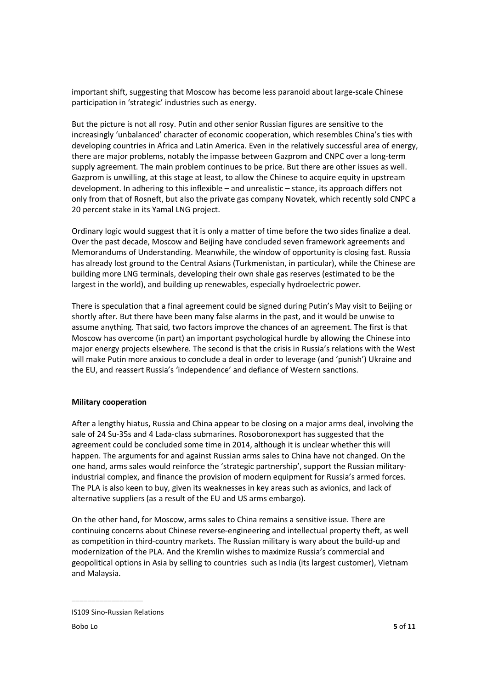important shift, suggesting that Moscow has become less paranoid about large-scale Chinese participation in 'strategic' industries such as energy.

But the picture is not all rosy. Putin and other senior Russian figures are sensitive to the increasingly 'unbalanced' character of economic cooperation, which resembles China's ties with developing countries in Africa and Latin America. Even in the relatively successful area of energy, there are major problems, notably the impasse between Gazprom and CNPC over a long-term supply agreement. The main problem continues to be price. But there are other issues as well. Gazprom is unwilling, at this stage at least, to allow the Chinese to acquire equity in upstream development. In adhering to this inflexible – and unrealistic – stance, its approach differs not only from that of Rosneft, but also the private gas company Novatek, which recently sold CNPC a 20 percent stake in its Yamal LNG project.

Ordinary logic would suggest that it is only a matter of time before the two sides finalize a deal. Over the past decade, Moscow and Beijing have concluded seven framework agreements and Memorandums of Understanding. Meanwhile, the window of opportunity is closing fast. Russia has already lost ground to the Central Asians (Turkmenistan, in particular), while the Chinese are building more LNG terminals, developing their own shale gas reserves (estimated to be the largest in the world), and building up renewables, especially hydroelectric power.

There is speculation that a final agreement could be signed during Putin's May visit to Beijing or shortly after. But there have been many false alarms in the past, and it would be unwise to assume anything. That said, two factors improve the chances of an agreement. The first is that Moscow has overcome (in part) an important psychological hurdle by allowing the Chinese into major energy projects elsewhere. The second is that the crisis in Russia's relations with the West will make Putin more anxious to conclude a deal in order to leverage (and 'punish') Ukraine and the EU, and reassert Russia's 'independence' and defiance of Western sanctions.

#### **Military cooperation**

After a lengthy hiatus, Russia and China appear to be closing on a major arms deal, involving the sale of 24 Su-35s and 4 Lada-class submarines. Rosoboronexport has suggested that the agreement could be concluded some time in 2014, although it is unclear whether this will happen. The arguments for and against Russian arms sales to China have not changed. On the one hand, arms sales would reinforce the 'strategic partnership', support the Russian militaryindustrial complex, and finance the provision of modern equipment for Russia's armed forces. The PLA is also keen to buy, given its weaknesses in key areas such as avionics, and lack of alternative suppliers (as a result of the EU and US arms embargo).

On the other hand, for Moscow, arms sales to China remains a sensitive issue. There are continuing concerns about Chinese reverse-engineering and intellectual property theft, as well as competition in third-country markets. The Russian military is wary about the build-up and modernization of the PLA. And the Kremlin wishes to maximize Russia's commercial and geopolitical options in Asia by selling to countries such as India (its largest customer), Vietnam and Malaysia.

IS109 Sino-Russian Relations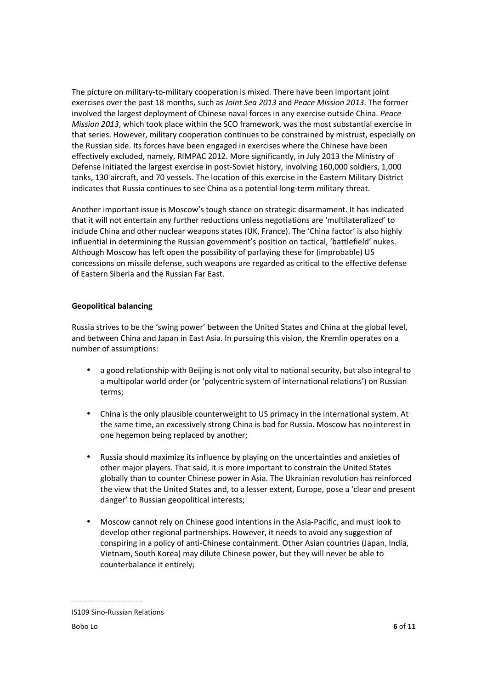The picture on military-to-military cooperation is mixed. There have been important joint exercises over the past 18 months, such as *Joint Sea 2013* and *Peace Mission 2013*. The former involved the largest deployment of Chinese naval forces in any exercise outside China. *Peace Mission 2013*, which took place within the SCO framework, was the most substantial exercise in that series. However, military cooperation continues to be constrained by mistrust, especially on the Russian side. Its forces have been engaged in exercises where the Chinese have been effectively excluded, namely, RIMPAC 2012. More significantly, in July 2013 the Ministry of Defense initiated the largest exercise in post-Soviet history, involving 160,000 soldiers, 1,000 tanks, 130 aircraft, and 70 vessels. The location of this exercise in the Eastern Military District indicates that Russia continues to see China as a potential long-term military threat.

Another important issue is Moscow's tough stance on strategic disarmament. It has indicated that it will not entertain any further reductions unless negotiations are 'multilateralized' to include China and other nuclear weapons states (UK, France). The 'China factor' is also highly influential in determining the Russian government's position on tactical, 'battlefield' nukes. Although Moscow has left open the possibility of parlaying these for (improbable) US concessions on missile defense, such weapons are regarded as critical to the effective defense of Eastern Siberia and the Russian Far East.

#### **Geopolitical balancing**

Russia strives to be the 'swing power' between the United States and China at the global level, and between China and Japan in East Asia. In pursuing this vision, the Kremlin operates on a number of assumptions:

- a good relationship with Beijing is not only vital to national security, but also integral to a multipolar world order (or 'polycentric system of international relations') on Russian terms;
- China is the only plausible counterweight to US primacy in the international system. At the same time, an excessively strong China is bad for Russia. Moscow has no interest in one hegemon being replaced by another;
- Russia should maximize its influence by playing on the uncertainties and anxieties of other major players. That said, it is more important to constrain the United States globally than to counter Chinese power in Asia. The Ukrainian revolution has reinforced the view that the United States and, to a lesser extent, Europe, pose a 'clear and present danger' to Russian geopolitical interests;
- Moscow cannot rely on Chinese good intentions in the Asia-Pacific, and must look to develop other regional partnerships. However, it needs to avoid any suggestion of conspiring in a policy of anti-Chinese containment. Other Asian countries (Japan, India, Vietnam, South Korea) may dilute Chinese power, but they will never be able to counterbalance it entirely;

IS109 Sino-Russian Relations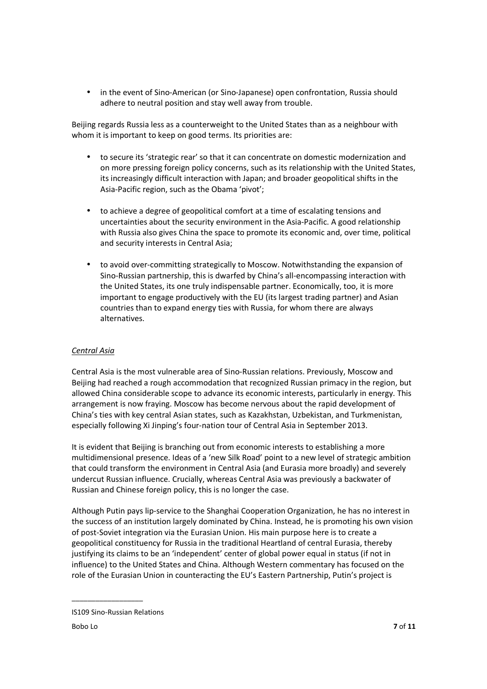• in the event of Sino-American (or Sino-Japanese) open confrontation, Russia should adhere to neutral position and stay well away from trouble.

Beijing regards Russia less as a counterweight to the United States than as a neighbour with whom it is important to keep on good terms. Its priorities are:

- to secure its 'strategic rear' so that it can concentrate on domestic modernization and on more pressing foreign policy concerns, such as its relationship with the United States, its increasingly difficult interaction with Japan; and broader geopolitical shifts in the Asia-Pacific region, such as the Obama 'pivot';
- to achieve a degree of geopolitical comfort at a time of escalating tensions and uncertainties about the security environment in the Asia-Pacific. A good relationship with Russia also gives China the space to promote its economic and, over time, political and security interests in Central Asia;
- to avoid over-committing strategically to Moscow. Notwithstanding the expansion of Sino-Russian partnership, this is dwarfed by China's all-encompassing interaction with the United States, its one truly indispensable partner. Economically, too, it is more important to engage productively with the EU (its largest trading partner) and Asian countries than to expand energy ties with Russia, for whom there are always alternatives.

#### *Central Asia*

Central Asia is the most vulnerable area of Sino-Russian relations. Previously, Moscow and Beijing had reached a rough accommodation that recognized Russian primacy in the region, but allowed China considerable scope to advance its economic interests, particularly in energy. This arrangement is now fraying. Moscow has become nervous about the rapid development of China's ties with key central Asian states, such as Kazakhstan, Uzbekistan, and Turkmenistan, especially following Xi Jinping's four-nation tour of Central Asia in September 2013.

It is evident that Beijing is branching out from economic interests to establishing a more multidimensional presence. Ideas of a 'new Silk Road' point to a new level of strategic ambition that could transform the environment in Central Asia (and Eurasia more broadly) and severely undercut Russian influence. Crucially, whereas Central Asia was previously a backwater of Russian and Chinese foreign policy, this is no longer the case.

Although Putin pays lip-service to the Shanghai Cooperation Organization, he has no interest in the success of an institution largely dominated by China. Instead, he is promoting his own vision of post-Soviet integration via the Eurasian Union. His main purpose here is to create a geopolitical constituency for Russia in the traditional Heartland of central Eurasia, thereby justifying its claims to be an 'independent' center of global power equal in status (if not in influence) to the United States and China. Although Western commentary has focused on the role of the Eurasian Union in counteracting the EU's Eastern Partnership, Putin's project is

IS109 Sino-Russian Relations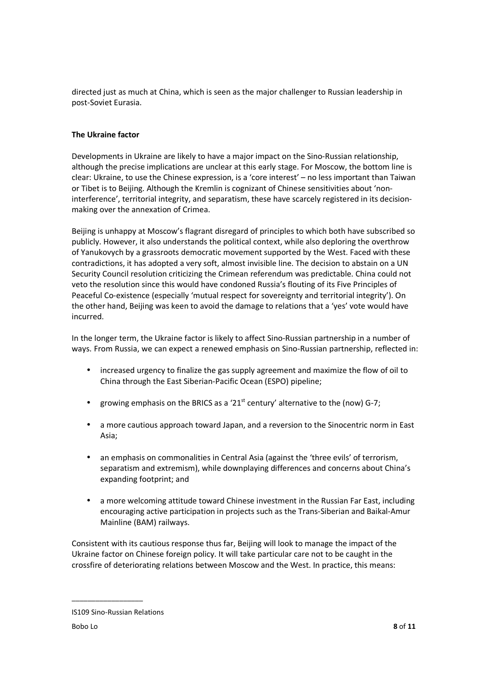directed just as much at China, which is seen as the major challenger to Russian leadership in post-Soviet Eurasia.

### **The Ukraine factor**

Developments in Ukraine are likely to have a major impact on the Sino-Russian relationship, although the precise implications are unclear at this early stage. For Moscow, the bottom line is clear: Ukraine, to use the Chinese expression, is a 'core interest' – no less important than Taiwan or Tibet is to Beijing. Although the Kremlin is cognizant of Chinese sensitivities about 'noninterference', territorial integrity, and separatism, these have scarcely registered in its decisionmaking over the annexation of Crimea.

Beijing is unhappy at Moscow's flagrant disregard of principles to which both have subscribed so publicly. However, it also understands the political context, while also deploring the overthrow of Yanukovych by a grassroots democratic movement supported by the West. Faced with these contradictions, it has adopted a very soft, almost invisible line. The decision to abstain on a UN Security Council resolution criticizing the Crimean referendum was predictable. China could not veto the resolution since this would have condoned Russia's flouting of its Five Principles of Peaceful Co-existence (especially 'mutual respect for sovereignty and territorial integrity'). On the other hand, Beijing was keen to avoid the damage to relations that a 'yes' vote would have incurred.

In the longer term, the Ukraine factor is likely to affect Sino-Russian partnership in a number of ways. From Russia, we can expect a renewed emphasis on Sino-Russian partnership, reflected in:

- increased urgency to finalize the gas supply agreement and maximize the flow of oil to China through the East Siberian-Pacific Ocean (ESPO) pipeline;
- growing emphasis on the BRICS as a '21<sup>st</sup> century' alternative to the (now) G-7;
- a more cautious approach toward Japan, and a reversion to the Sinocentric norm in East Asia;
- an emphasis on commonalities in Central Asia (against the 'three evils' of terrorism, separatism and extremism), while downplaying differences and concerns about China's expanding footprint; and
- a more welcoming attitude toward Chinese investment in the Russian Far East, including encouraging active participation in projects such as the Trans-Siberian and Baikal-Amur Mainline (BAM) railways.

Consistent with its cautious response thus far, Beijing will look to manage the impact of the Ukraine factor on Chinese foreign policy. It will take particular care not to be caught in the crossfire of deteriorating relations between Moscow and the West. In practice, this means:

IS109 Sino-Russian Relations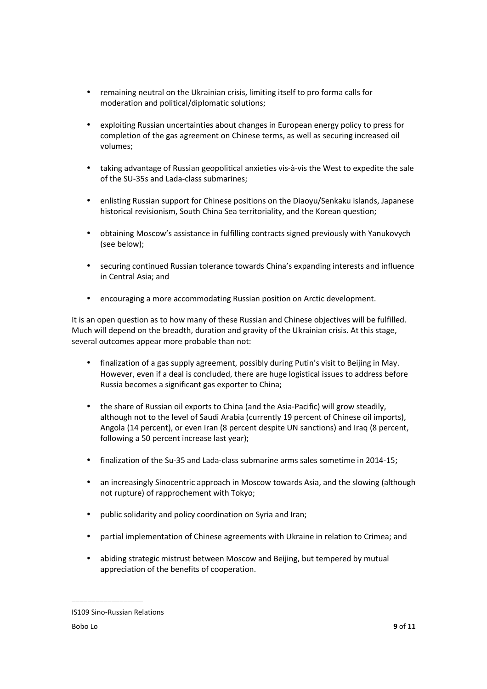- remaining neutral on the Ukrainian crisis, limiting itself to pro forma calls for moderation and political/diplomatic solutions;
- exploiting Russian uncertainties about changes in European energy policy to press for completion of the gas agreement on Chinese terms, as well as securing increased oil volumes;
- taking advantage of Russian geopolitical anxieties vis-à-vis the West to expedite the sale of the SU-35s and Lada-class submarines;
- enlisting Russian support for Chinese positions on the Diaoyu/Senkaku islands, Japanese historical revisionism, South China Sea territoriality, and the Korean question;
- obtaining Moscow's assistance in fulfilling contracts signed previously with Yanukovych (see below);
- securing continued Russian tolerance towards China's expanding interests and influence in Central Asia; and
- encouraging a more accommodating Russian position on Arctic development.

It is an open question as to how many of these Russian and Chinese objectives will be fulfilled. Much will depend on the breadth, duration and gravity of the Ukrainian crisis. At this stage, several outcomes appear more probable than not:

- finalization of a gas supply agreement, possibly during Putin's visit to Beijing in May. However, even if a deal is concluded, there are huge logistical issues to address before Russia becomes a significant gas exporter to China;
- the share of Russian oil exports to China (and the Asia-Pacific) will grow steadily, although not to the level of Saudi Arabia (currently 19 percent of Chinese oil imports), Angola (14 percent), or even Iran (8 percent despite UN sanctions) and Iraq (8 percent, following a 50 percent increase last year);
- finalization of the Su-35 and Lada-class submarine arms sales sometime in 2014-15;
- an increasingly Sinocentric approach in Moscow towards Asia, and the slowing (although not rupture) of rapprochement with Tokyo;
- public solidarity and policy coordination on Syria and Iran;
- partial implementation of Chinese agreements with Ukraine in relation to Crimea; and
- abiding strategic mistrust between Moscow and Beijing, but tempered by mutual appreciation of the benefits of cooperation.

IS109 Sino-Russian Relations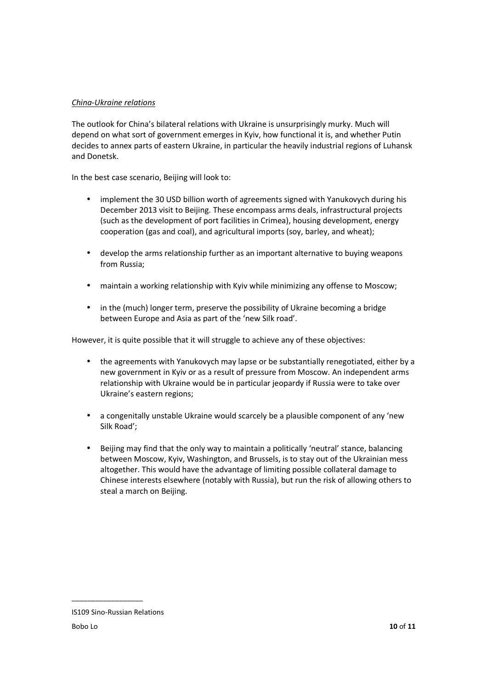## *China-Ukraine relations*

The outlook for China's bilateral relations with Ukraine is unsurprisingly murky. Much will depend on what sort of government emerges in Kyiv, how functional it is, and whether Putin decides to annex parts of eastern Ukraine, in particular the heavily industrial regions of Luhansk and Donetsk.

In the best case scenario, Beijing will look to:

- implement the 30 USD billion worth of agreements signed with Yanukovych during his December 2013 visit to Beijing. These encompass arms deals, infrastructural projects (such as the development of port facilities in Crimea), housing development, energy cooperation (gas and coal), and agricultural imports (soy, barley, and wheat);
- develop the arms relationship further as an important alternative to buying weapons from Russia;
- maintain a working relationship with Kyiv while minimizing any offense to Moscow;
- in the (much) longer term, preserve the possibility of Ukraine becoming a bridge between Europe and Asia as part of the 'new Silk road'.

However, it is quite possible that it will struggle to achieve any of these objectives:

- the agreements with Yanukovych may lapse or be substantially renegotiated, either by a new government in Kyiv or as a result of pressure from Moscow. An independent arms relationship with Ukraine would be in particular jeopardy if Russia were to take over Ukraine's eastern regions;
- a congenitally unstable Ukraine would scarcely be a plausible component of any 'new Silk Road';
- Beijing may find that the only way to maintain a politically 'neutral' stance, balancing between Moscow, Kyiv, Washington, and Brussels, is to stay out of the Ukrainian mess altogether. This would have the advantage of limiting possible collateral damage to Chinese interests elsewhere (notably with Russia), but run the risk of allowing others to steal a march on Beijing.

IS109 Sino-Russian Relations